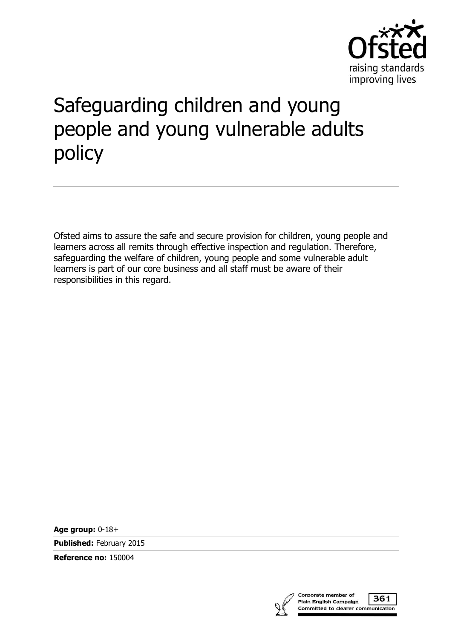

# Safeguarding children and young people and young vulnerable adults policy

Ofsted aims to assure the safe and secure provision for children, young people and learners across all remits through effective inspection and regulation. Therefore, safeguarding the welfare of children, young people and some vulnerable adult learners is part of our core business and all staff must be aware of their responsibilities in this regard.

**Age group:** 0-18+

**Published:** February 2015

**Reference no:** 150004

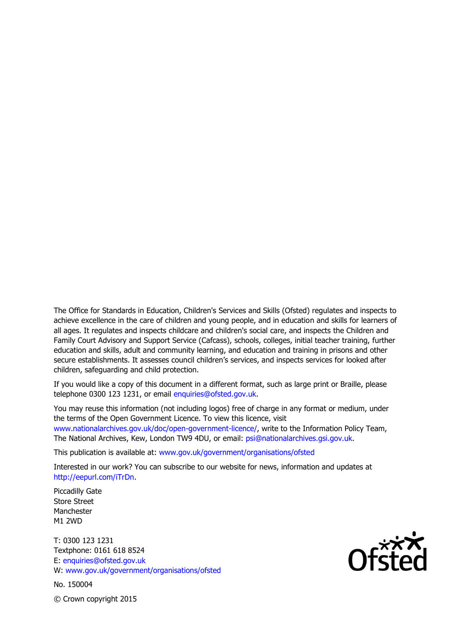The Office for Standards in Education, Children's Services and Skills (Ofsted) regulates and inspects to achieve excellence in the care of children and young people, and in education and skills for learners of all ages. It regulates and inspects childcare and children's social care, and inspects the Children and Family Court Advisory and Support Service (Cafcass), schools, colleges, initial teacher training, further education and skills, adult and community learning, and education and training in prisons and other secure establishments. It assesses council children's services, and inspects services for looked after children, safeguarding and child protection.

If you would like a copy of this document in a different format, such as large print or Braille, please telephone 0300 123 1231, or email enquiries@ofsted.gov.uk.

You may reuse this information (not including logos) free of charge in any format or medium, under the terms of the Open Government Licence. To view this licence, visit www.nationalarchives.gov.uk/doc/open-government-licence/, write to the Information Policy Team, The National Archives, Kew, London TW9 4DU, or email: psi@nationalarchives.gsi.gov.uk.

This publication is available at: www.gov.uk/government/organisations/ofsted

Interested in our work? You can subscribe to our website for news, information and updates at http://eepurl.com/iTrDn.

Piccadilly Gate Store Street Manchester M1 2WD

T: 0300 123 1231 Textphone: 0161 618 8524 E: enquiries@ofsted.gov.uk W: www.gov.uk/government/organisations/ofsted

No. 150004

 $\mathsf{Of}^{\mathsf{xxx}}_{\mathsf{C}}$ 

© Crown copyright 2015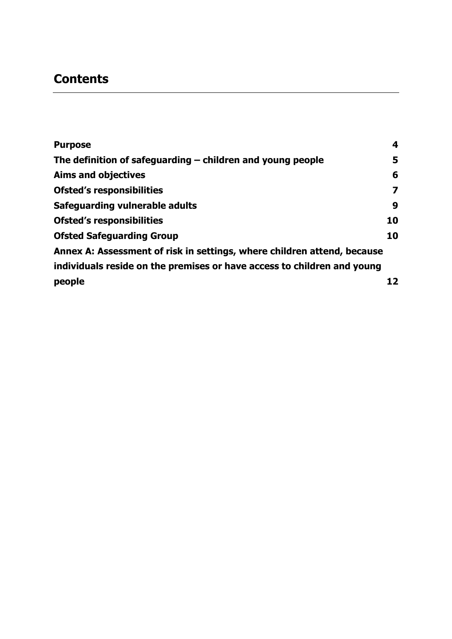# **Contents**

| <b>Purpose</b>                                                          | 4  |
|-------------------------------------------------------------------------|----|
| The definition of safeguarding $-$ children and young people            | 5  |
| <b>Aims and objectives</b>                                              | 6  |
| <b>Ofsted's responsibilities</b>                                        | 7  |
| Safeguarding vulnerable adults                                          | 9  |
| <b>Ofsted's responsibilities</b>                                        | 10 |
| <b>Ofsted Safeguarding Group</b>                                        | 10 |
| Annex A: Assessment of risk in settings, where children attend, because |    |
| individuals reside on the premises or have access to children and young |    |
| people                                                                  | 12 |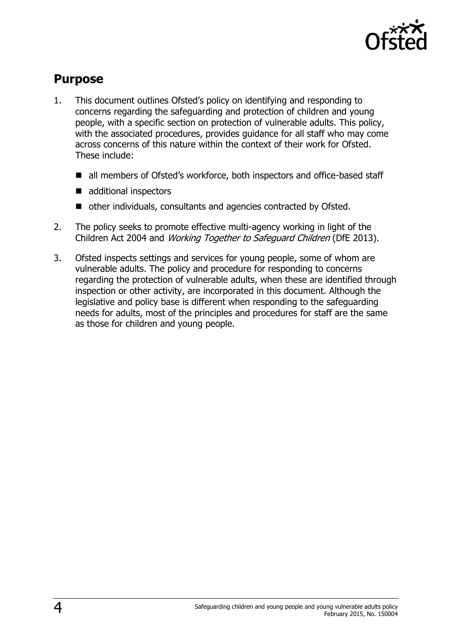

#### <span id="page-3-0"></span>**Purpose**

- 1. This document outlines Ofsted's policy on identifying and responding to concerns regarding the safeguarding and protection of children and young people, with a specific section on protection of vulnerable adults. This policy, with the associated procedures, provides guidance for all staff who may come across concerns of this nature within the context of their work for Ofsted. These include:
	- all members of Ofsted's workforce, both inspectors and office-based staff
	- additional inspectors
	- other individuals, consultants and agencies contracted by Ofsted.
- 2. The policy seeks to promote effective multi-agency working in light of the Children Act 2004 and Working Together to Safeguard Children (DfE 2013).
- 3. Ofsted inspects settings and services for young people, some of whom are vulnerable adults. The policy and procedure for responding to concerns regarding the protection of vulnerable adults, when these are identified through inspection or other activity, are incorporated in this document. Although the legislative and policy base is different when responding to the safeguarding needs for adults, most of the principles and procedures for staff are the same as those for children and young people.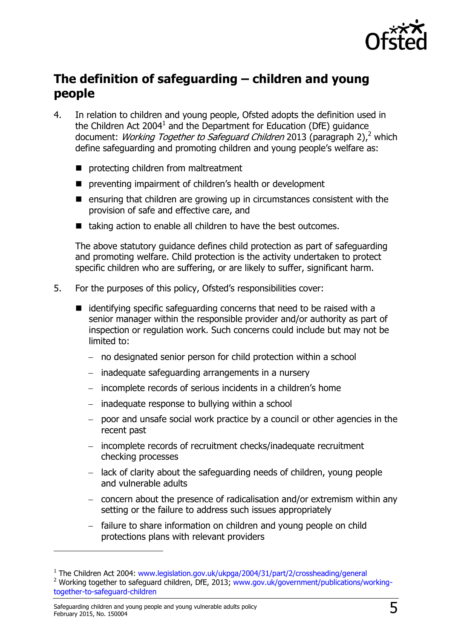

## <span id="page-4-0"></span>**The definition of safeguarding – children and young people**

- 4. In relation to children and young people, Ofsted adopts the definition used in the Children Act 2004<sup>1</sup> and the Department for Education (DfE) guidance document: *Working Together to Safeguard Children* 2013 (paragraph 2),<sup>2</sup> which define safeguarding and promoting children and young people's welfare as:
	- **P** protecting children from maltreatment
	- **P** preventing impairment of children's health or development
	- $\blacksquare$  ensuring that children are growing up in circumstances consistent with the provision of safe and effective care, and
	- taking action to enable all children to have the best outcomes.

The above statutory guidance defines child protection as part of safeguarding and promoting welfare. Child protection is the activity undertaken to protect specific children who are suffering, or are likely to suffer, significant harm.

- 5. For the purposes of this policy, Ofsted's responsibilities cover:
	- $\blacksquare$  identifying specific safeguarding concerns that need to be raised with a senior manager within the responsible provider and/or authority as part of inspection or regulation work. Such concerns could include but may not be limited to:
		- no designated senior person for child protection within a school
		- $-$  inadequate safeguarding arrangements in a nursery
		- incomplete records of serious incidents in a children's home
		- $-$  inadequate response to bullying within a school
		- poor and unsafe social work practice by a council or other agencies in the recent past
		- incomplete records of recruitment checks/inadequate recruitment checking processes
		- $\overline{a}$  lack of clarity about the safeguarding needs of children, young people and vulnerable adults
		- concern about the presence of radicalisation and/or extremism within any setting or the failure to address such issues appropriately
		- failure to share information on children and young people on child protections plans with relevant providers

-

<sup>&</sup>lt;sup>1</sup> The Children Act 2004: www.legislation.gov.uk/ukpga/2004/31/part/2/crossheading/general <sup>2</sup> Working together to safeguard children, DfE, 2013; www.gov.uk/government/publications/working-

together-to-safeguard-children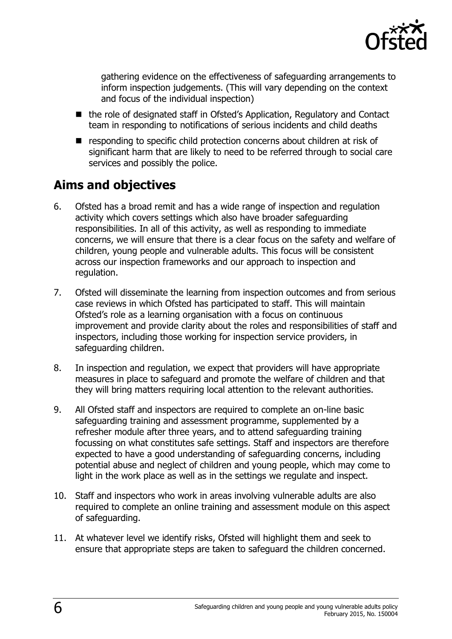

gathering evidence on the effectiveness of safeguarding arrangements to inform inspection judgements. (This will vary depending on the context and focus of the individual inspection)

- the role of designated staff in Ofsted's Application, Regulatory and Contact team in responding to notifications of serious incidents and child deaths
- **E** responding to specific child protection concerns about children at risk of significant harm that are likely to need to be referred through to social care services and possibly the police.

# <span id="page-5-0"></span>**Aims and objectives**

- 6. Ofsted has a broad remit and has a wide range of inspection and regulation activity which covers settings which also have broader safeguarding responsibilities. In all of this activity, as well as responding to immediate concerns, we will ensure that there is a clear focus on the safety and welfare of children, young people and vulnerable adults. This focus will be consistent across our inspection frameworks and our approach to inspection and regulation.
- 7. Ofsted will disseminate the learning from inspection outcomes and from serious case reviews in which Ofsted has participated to staff. This will maintain Ofsted's role as a learning organisation with a focus on continuous improvement and provide clarity about the roles and responsibilities of staff and inspectors, including those working for inspection service providers, in safeguarding children.
- 8. In inspection and regulation, we expect that providers will have appropriate measures in place to safeguard and promote the welfare of children and that they will bring matters requiring local attention to the relevant authorities.
- 9. All Ofsted staff and inspectors are required to complete an on-line basic safeguarding training and assessment programme, supplemented by a refresher module after three years, and to attend safeguarding training focussing on what constitutes safe settings. Staff and inspectors are therefore expected to have a good understanding of safeguarding concerns, including potential abuse and neglect of children and young people, which may come to light in the work place as well as in the settings we regulate and inspect.
- 10. Staff and inspectors who work in areas involving vulnerable adults are also required to complete an online training and assessment module on this aspect of safeguarding.
- 11. At whatever level we identify risks, Ofsted will highlight them and seek to ensure that appropriate steps are taken to safeguard the children concerned.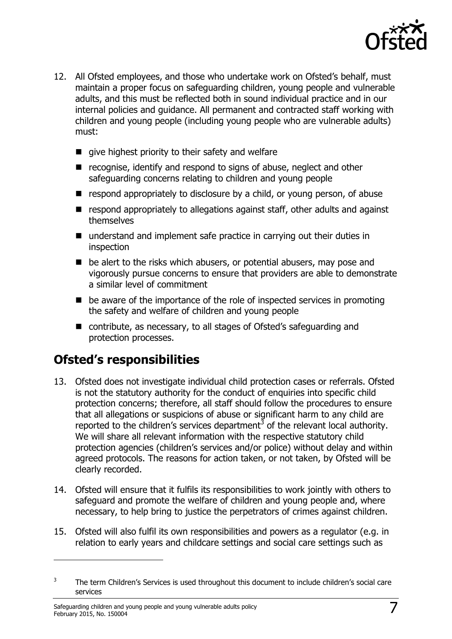

- 12. All Ofsted employees, and those who undertake work on Ofsted's behalf, must maintain a proper focus on safeguarding children, young people and vulnerable adults, and this must be reflected both in sound individual practice and in our internal policies and guidance. All permanent and contracted staff working with children and young people (including young people who are vulnerable adults) must:
	- $\blacksquare$  give highest priority to their safety and welfare
	- recognise, identify and respond to signs of abuse, neglect and other safeguarding concerns relating to children and young people
	- $\blacksquare$  respond appropriately to disclosure by a child, or young person, of abuse
	- **E** respond appropriately to allegations against staff, other adults and against themselves
	- understand and implement safe practice in carrying out their duties in inspection
	- $\blacksquare$  be alert to the risks which abusers, or potential abusers, may pose and vigorously pursue concerns to ensure that providers are able to demonstrate a similar level of commitment
	- be aware of the importance of the role of inspected services in promoting the safety and welfare of children and young people
	- contribute, as necessary, to all stages of Ofsted's safeguarding and protection processes.

## <span id="page-6-0"></span>**Ofsted's responsibilities**

- 13. Ofsted does not investigate individual child protection cases or referrals. Ofsted is not the statutory authority for the conduct of enquiries into specific child protection concerns; therefore, all staff should follow the procedures to ensure that all allegations or suspicions of abuse or significant harm to any child are reported to the children's services department<sup>3</sup> of the relevant local authority. We will share all relevant information with the respective statutory child protection agencies (children's services and/or police) without delay and within agreed protocols. The reasons for action taken, or not taken, by Ofsted will be clearly recorded.
- 14. Ofsted will ensure that it fulfils its responsibilities to work jointly with others to safeguard and promote the welfare of children and young people and, where necessary, to help bring to justice the perpetrators of crimes against children.
- 15. Ofsted will also fulfil its own responsibilities and powers as a regulator (e.g. in relation to early years and childcare settings and social care settings such as

j

<sup>3</sup> The term Children's Services is used throughout this document to include children's social care services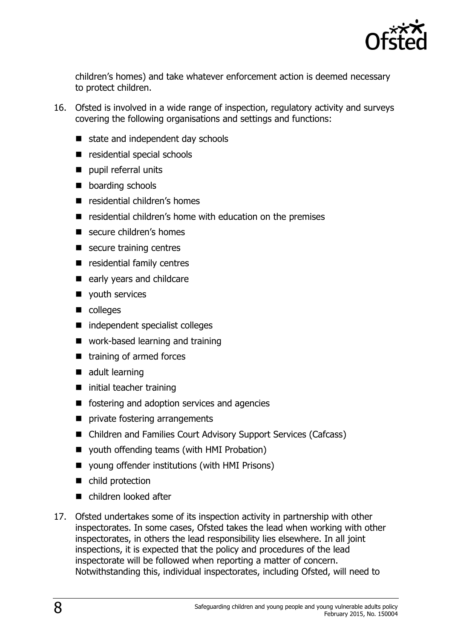

children's homes) and take whatever enforcement action is deemed necessary to protect children.

- 16. Ofsted is involved in a wide range of inspection, regulatory activity and surveys covering the following organisations and settings and functions:
	- state and independent day schools
	- residential special schools
	- pupil referral units
	- **boarding schools**
	- **E** residential children's homes
	- residential children's home with education on the premises
	- secure children's homes
	- secure training centres
	- **E** residential family centres
	- early years and childcare
	- vouth services
	- colleges
	- independent specialist colleges
	- work-based learning and training
	- $\blacksquare$  training of armed forces
	- $\blacksquare$  adult learning
	- $\blacksquare$  initial teacher training
	- fostering and adoption services and agencies
	- **P** private fostering arrangements
	- Children and Families Court Advisory Support Services (Cafcass)
	- youth offending teams (with HMI Probation)
	- young offender institutions (with HMI Prisons)
	- child protection
	- children looked after
- 17. Ofsted undertakes some of its inspection activity in partnership with other inspectorates. In some cases, Ofsted takes the lead when working with other inspectorates, in others the lead responsibility lies elsewhere. In all joint inspections, it is expected that the policy and procedures of the lead inspectorate will be followed when reporting a matter of concern. Notwithstanding this, individual inspectorates, including Ofsted, will need to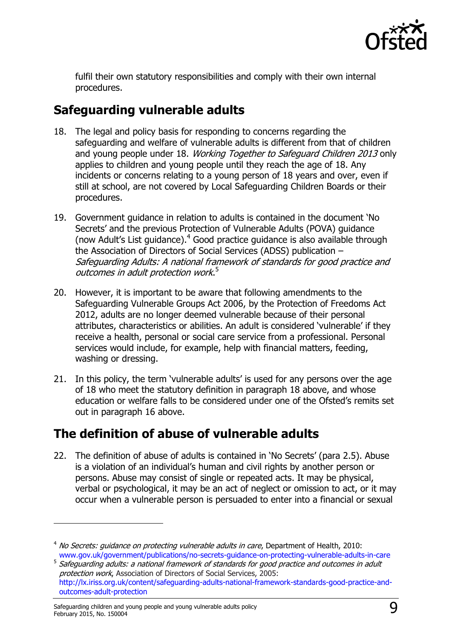

fulfil their own statutory responsibilities and comply with their own internal procedures.

# <span id="page-8-0"></span>**Safeguarding vulnerable adults**

- 18. The legal and policy basis for responding to concerns regarding the safeguarding and welfare of vulnerable adults is different from that of children and young people under 18. Working Together to Safeguard Children 2013 only applies to children and young people until they reach the age of 18. Any incidents or concerns relating to a young person of 18 years and over, even if still at school, are not covered by Local Safeguarding Children Boards or their procedures.
- 19. Government guidance in relation to adults is contained in the document 'No Secrets' and the previous Protection of Vulnerable Adults (POVA) guidance (now Adult's List guidance). $4$  Good practice guidance is also available through the Association of Directors of Social Services (ADSS) publication – Safeguarding Adults: A national framework of standards for good practice and outcomes in adult protection work. 5
- 20. However, it is important to be aware that following amendments to the Safeguarding Vulnerable Groups Act 2006, by the Protection of Freedoms Act 2012, adults are no longer deemed vulnerable because of their personal attributes, characteristics or abilities. An adult is considered 'vulnerable' if they receive a health, personal or social care service from a professional. Personal services would include, for example, help with financial matters, feeding, washing or dressing.
- 21. In this policy, the term 'vulnerable adults' is used for any persons over the age of 18 who meet the statutory definition in paragraph 18 above, and whose education or welfare falls to be considered under one of the Ofsted's remits set out in paragraph 16 above.

## **The definition of abuse of vulnerable adults**

22. The definition of abuse of adults is contained in 'No Secrets' (para 2.5). Abuse is a violation of an individual's human and civil rights by another person or persons. Abuse may consist of single or repeated acts. It may be physical, verbal or psychological, it may be an act of neglect or omission to act, or it may occur when a vulnerable person is persuaded to enter into a financial or sexual

j

<sup>&</sup>lt;sup>4</sup> No Secrets: quidance on protecting vulnerable adults in care, Department of Health, 2010: www.gov.uk/government/publications/no-secrets-guidance-on-protecting-vulnerable-adults-in-care

 $^5$  Safeguarding adults: a national framework of standards for good practice and outcomes in adult protection work, Association of Directors of Social Services, 2005: http://lx.iriss.org.uk/content/safeguarding-adults-national-framework-standards-good-practice-and-

outcomes-adult-protection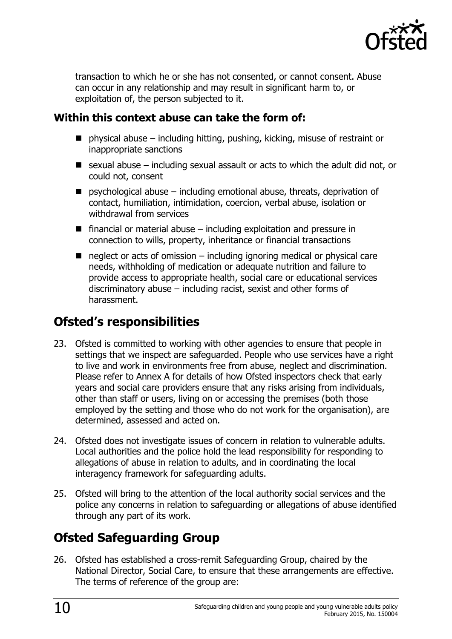

transaction to which he or she has not consented, or cannot consent. Abuse can occur in any relationship and may result in significant harm to, or exploitation of, the person subjected to it.

#### **Within this context abuse can take the form of:**

- $\blacksquare$  physical abuse including hitting, pushing, kicking, misuse of restraint or inappropriate sanctions
- $\blacksquare$  sexual abuse including sexual assault or acts to which the adult did not, or could not, consent
- $\blacksquare$  psychological abuse including emotional abuse, threats, deprivation of contact, humiliation, intimidation, coercion, verbal abuse, isolation or withdrawal from services
- $\blacksquare$  financial or material abuse including exploitation and pressure in connection to wills, property, inheritance or financial transactions
- $\blacksquare$  neglect or acts of omission including ignoring medical or physical care needs, withholding of medication or adequate nutrition and failure to provide access to appropriate health, social care or educational services discriminatory abuse – including racist, sexist and other forms of harassment.

# <span id="page-9-0"></span>**Ofsted's responsibilities**

- 23. Ofsted is committed to working with other agencies to ensure that people in settings that we inspect are safeguarded. People who use services have a right to live and work in environments free from abuse, neglect and discrimination. Please refer to Annex A for details of how Ofsted inspectors check that early years and social care providers ensure that any risks arising from individuals, other than staff or users, living on or accessing the premises (both those employed by the setting and those who do not work for the organisation), are determined, assessed and acted on.
- 24. Ofsted does not investigate issues of concern in relation to vulnerable adults. Local authorities and the police hold the lead responsibility for responding to allegations of abuse in relation to adults, and in coordinating the local interagency framework for safeguarding adults.
- 25. Ofsted will bring to the attention of the local authority social services and the police any concerns in relation to safeguarding or allegations of abuse identified through any part of its work.

# <span id="page-9-1"></span>**Ofsted Safeguarding Group**

26. Ofsted has established a cross-remit Safeguarding Group, chaired by the National Director, Social Care, to ensure that these arrangements are effective. The terms of reference of the group are: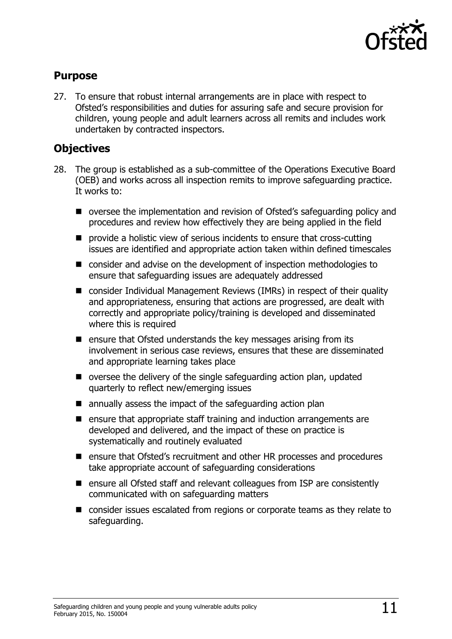

#### **Purpose**

27. To ensure that robust internal arrangements are in place with respect to Ofsted's responsibilities and duties for assuring safe and secure provision for children, young people and adult learners across all remits and includes work undertaken by contracted inspectors.

#### **Objectives**

- 28. The group is established as a sub-committee of the Operations Executive Board (OEB) and works across all inspection remits to improve safeguarding practice. It works to:
	- oversee the implementation and revision of Ofsted's safeguarding policy and procedures and review how effectively they are being applied in the field
	- provide a holistic view of serious incidents to ensure that cross-cutting issues are identified and appropriate action taken within defined timescales
	- consider and advise on the development of inspection methodologies to ensure that safeguarding issues are adequately addressed
	- consider Individual Management Reviews (IMRs) in respect of their quality and appropriateness, ensuring that actions are progressed, are dealt with correctly and appropriate policy/training is developed and disseminated where this is required
	- **E** ensure that Ofsted understands the key messages arising from its involvement in serious case reviews, ensures that these are disseminated and appropriate learning takes place
	- $\blacksquare$  oversee the delivery of the single safeguarding action plan, updated quarterly to reflect new/emerging issues
	- $\blacksquare$  annually assess the impact of the safeguarding action plan
	- $\blacksquare$  ensure that appropriate staff training and induction arrangements are developed and delivered, and the impact of these on practice is systematically and routinely evaluated
	- ensure that Ofsted's recruitment and other HR processes and procedures take appropriate account of safeguarding considerations
	- ensure all Ofsted staff and relevant colleagues from ISP are consistently communicated with on safeguarding matters
	- consider issues escalated from regions or corporate teams as they relate to safeguarding.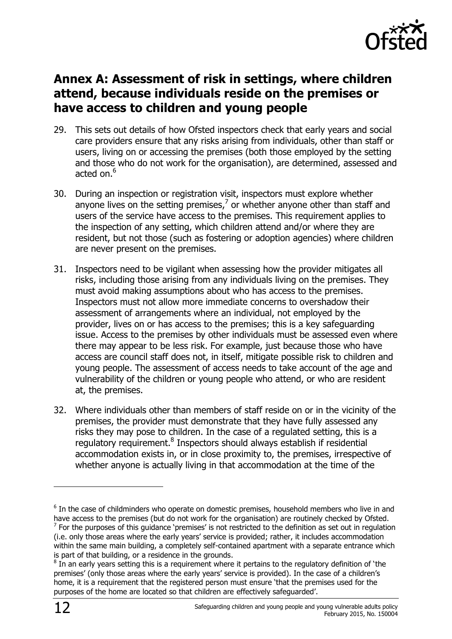

#### <span id="page-11-0"></span>**Annex A: Assessment of risk in settings, where children attend, because individuals reside on the premises or have access to children and young people**

- 29. This sets out details of how Ofsted inspectors check that early years and social care providers ensure that any risks arising from individuals, other than staff or users, living on or accessing the premises (both those employed by the setting and those who do not work for the organisation), are determined, assessed and acted on. $6$
- 30. During an inspection or registration visit, inspectors must explore whether anyone lives on the setting premises, $<sup>7</sup>$  or whether anyone other than staff and</sup> users of the service have access to the premises. This requirement applies to the inspection of any setting, which children attend and/or where they are resident, but not those (such as fostering or adoption agencies) where children are never present on the premises.
- 31. Inspectors need to be vigilant when assessing how the provider mitigates all risks, including those arising from any individuals living on the premises. They must avoid making assumptions about who has access to the premises. Inspectors must not allow more immediate concerns to overshadow their assessment of arrangements where an individual, not employed by the provider, lives on or has access to the premises; this is a key safeguarding issue. Access to the premises by other individuals must be assessed even where there may appear to be less risk. For example, just because those who have access are council staff does not, in itself, mitigate possible risk to children and young people. The assessment of access needs to take account of the age and vulnerability of the children or young people who attend, or who are resident at, the premises.
- 32. Where individuals other than members of staff reside on or in the vicinity of the premises, the provider must demonstrate that they have fully assessed any risks they may pose to children. In the case of a regulated setting, this is a regulatory requirement.<sup>8</sup> Inspectors should always establish if residential accommodation exists in, or in close proximity to, the premises, irrespective of whether anyone is actually living in that accommodation at the time of the

 $\overline{a}$ 

 $6$  In the case of childminders who operate on domestic premises, household members who live in and have access to the premises (but do not work for the organisation) are routinely checked by Ofsted.

 $<sup>7</sup>$  For the purposes of this guidance 'premises' is not restricted to the definition as set out in regulation</sup> (i.e. only those areas where the early years' service is provided; rather, it includes accommodation within the same main building, a completely self-contained apartment with a separate entrance which is part of that building, or a residence in the grounds.

 $^8$  In an early years setting this is a requirement where it pertains to the regulatory definition of 'the premises' (only those areas where the early years' service is provided). In the case of a children's home, it is a requirement that the registered person must ensure 'that the premises used for the purposes of the home are located so that children are effectively safeguarded'.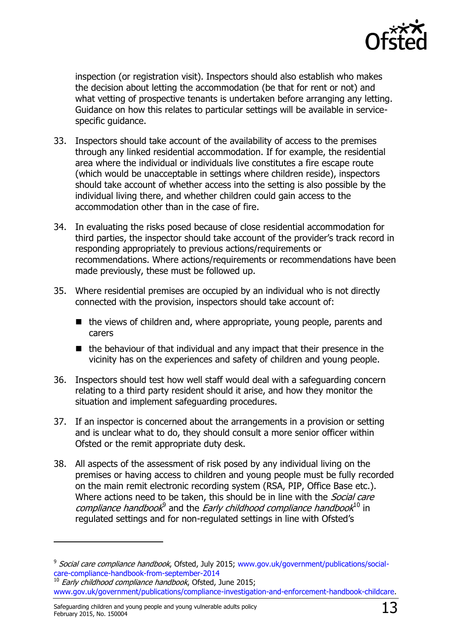

inspection (or registration visit). Inspectors should also establish who makes the decision about letting the accommodation (be that for rent or not) and what vetting of prospective tenants is undertaken before arranging any letting. Guidance on how this relates to particular settings will be available in servicespecific guidance.

- 33. Inspectors should take account of the availability of access to the premises through any linked residential accommodation. If for example, the residential area where the individual or individuals live constitutes a fire escape route (which would be unacceptable in settings where children reside), inspectors should take account of whether access into the setting is also possible by the individual living there, and whether children could gain access to the accommodation other than in the case of fire.
- 34. In evaluating the risks posed because of close residential accommodation for third parties, the inspector should take account of the provider's track record in responding appropriately to previous actions/requirements or recommendations. Where actions/requirements or recommendations have been made previously, these must be followed up.
- 35. Where residential premises are occupied by an individual who is not directly connected with the provision, inspectors should take account of:
	- $\blacksquare$  the views of children and, where appropriate, young people, parents and carers
	- $\blacksquare$  the behaviour of that individual and any impact that their presence in the vicinity has on the experiences and safety of children and young people.
- 36. Inspectors should test how well staff would deal with a safeguarding concern relating to a third party resident should it arise, and how they monitor the situation and implement safeguarding procedures.
- 37. If an inspector is concerned about the arrangements in a provision or setting and is unclear what to do, they should consult a more senior officer within Ofsted or the remit appropriate duty desk.
- 38. All aspects of the assessment of risk posed by any individual living on the premises or having access to children and young people must be fully recorded on the main remit electronic recording system (RSA, PIP, Office Base etc.). Where actions need to be taken, this should be in line with the Social care compliance handbook<sup>9</sup> and the Early childhood compliance handbook<sup>10</sup> in regulated settings and for non-regulated settings in line with Ofsted's

-

<sup>&</sup>lt;sup>9</sup> Social care compliance handbook, Ofsted, July 2015; [www.gov.uk/government/publications/social](http://www.gov.uk/government/publications/social-care-compliance-handbook-from-september-2014)[care-compliance-handbook-from-september-2014](http://www.gov.uk/government/publications/social-care-compliance-handbook-from-september-2014)

 $^{10}$  Early childhood compliance handbook, Ofsted, June 2015; [www.gov.uk/government/publications/compliance-investigation-and-enforcement-handbook-childcare.](http://www.gov.uk/government/publications/compliance-investigation-and-enforcement-handbook-childcare)